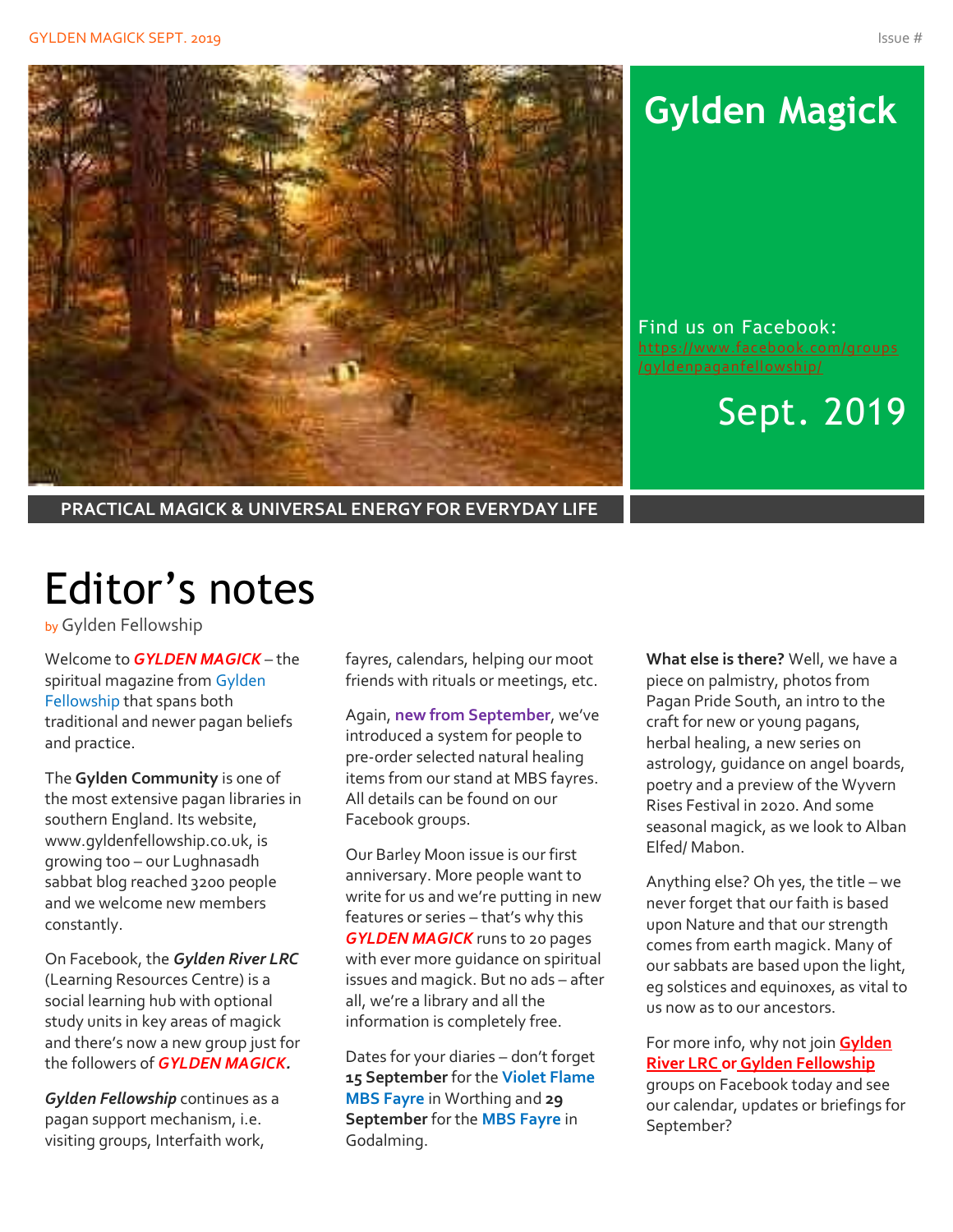

## **Gylden Magick**

Find us on Facebook: [https://www.facebook.com/groups](https://www.facebook.com/groups/gyldenpaganfellowship/)

Sept. 2019

**PRACTICAL MAGICK & UNIVERSAL ENERGY FOR EVERYDAY LIFE**

# Editor's notes

by Gylden Fellowship

Welcome to *GYLDEN MAGICK* – the spiritual magazine from Gylden Fellowship that spans both traditional and newer pagan beliefs and practice.

The **Gylden Community** is one of the most extensive pagan libraries in southern England. Its website, www.gyldenfellowship.co.uk, is growing too – our Lughnasadh sabbat blog reached 3200 people and we welcome new members constantly.

On Facebook, the *Gylden River LRC* (Learning Resources Centre) is a social learning hub with optional study units in key areas of magick and there's now a new group just for the followers of *GYLDEN MAGICK.*

*Gylden Fellowship* continues as a pagan support mechanism, i.e. visiting groups, Interfaith work,

fayres, calendars, helping our moot friends with rituals or meetings, etc.

Again, **new from September**, we've introduced a system for people to pre-order selected natural healing items from our stand at MBS fayres. All details can be found on our Facebook groups.

Our Barley Moon issue is our first anniversary. More people want to write for us and we're putting in new features or series – that's why this *GYLDEN MAGICK* runs to 20 pages with ever more guidance on spiritual issues and magick. But no ads – after all, we're a library and all the information is completely free.

Dates for your diaries – don't forget **15 September** for the **Violet Flame MBS Fayre** in Worthing and **29 September** for the **MBS Fayre** in Godalming.

**What else is there?** Well, we have a piece on palmistry, photos from Pagan Pride South, an intro to the craft for new or young pagans, herbal healing, a new series on astrology, guidance on angel boards, poetry and a preview of the Wyvern Rises Festival in 2020. And some seasonal magick, as we look to Alban Elfed/ Mabon.

Anything else? Oh yes, the title – we never forget that our faith is based upon Nature and that our strength comes from earth magick. Many of our sabbats are based upon the light, eg solstices and equinoxes, as vital to us now as to our ancestors.

For more info, why not join **Gylden River LRC or Gylden Fellowship** groups on Facebook today and see our calendar, updates or briefings for September?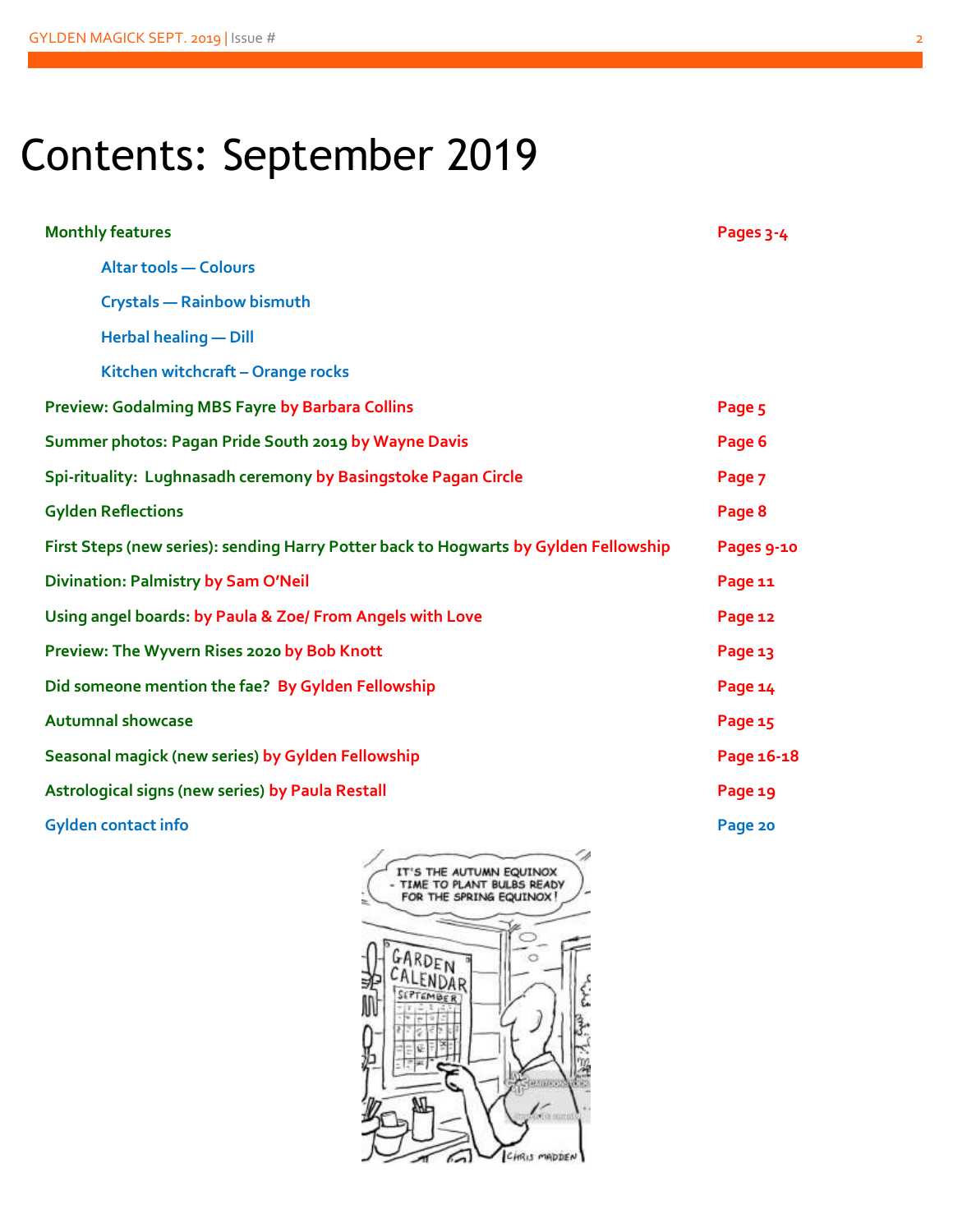# Contents: September 2019

| <b>Monthly features</b>                                                              | Pages 3-4  |  |  |
|--------------------------------------------------------------------------------------|------------|--|--|
| <b>Altar tools - Colours</b>                                                         |            |  |  |
| <b>Crystals - Rainbow bismuth</b>                                                    |            |  |  |
| <b>Herbal healing - Dill</b>                                                         |            |  |  |
| Kitchen witchcraft - Orange rocks                                                    |            |  |  |
| Preview: Godalming MBS Fayre by Barbara Collins                                      | Page 5     |  |  |
| Summer photos: Pagan Pride South 2019 by Wayne Davis                                 | Page 6     |  |  |
| Spi-rituality: Lughnasadh ceremony by Basingstoke Pagan Circle                       | Page 7     |  |  |
| <b>Gylden Reflections</b>                                                            | Page 8     |  |  |
| First Steps (new series): sending Harry Potter back to Hogwarts by Gylden Fellowship | Pages 9-10 |  |  |
| <b>Divination: Palmistry by Sam O'Neil</b>                                           | Page 11    |  |  |
| Using angel boards: by Paula & Zoe/ From Angels with Love                            | Page 12    |  |  |
| Preview: The Wyvern Rises 2020 by Bob Knott                                          | Page 13    |  |  |
| Did someone mention the fae? By Gylden Fellowship                                    | Page 14    |  |  |
| <b>Autumnal showcase</b>                                                             | Page 15    |  |  |
| Seasonal magick (new series) by Gylden Fellowship                                    | Page 16-18 |  |  |
| Astrological signs (new series) by Paula Restall                                     | Page 19    |  |  |
| <b>Gylden contact info</b>                                                           | Page 20    |  |  |
| - 1<br>$\overline{\phantom{a}}$                                                      |            |  |  |

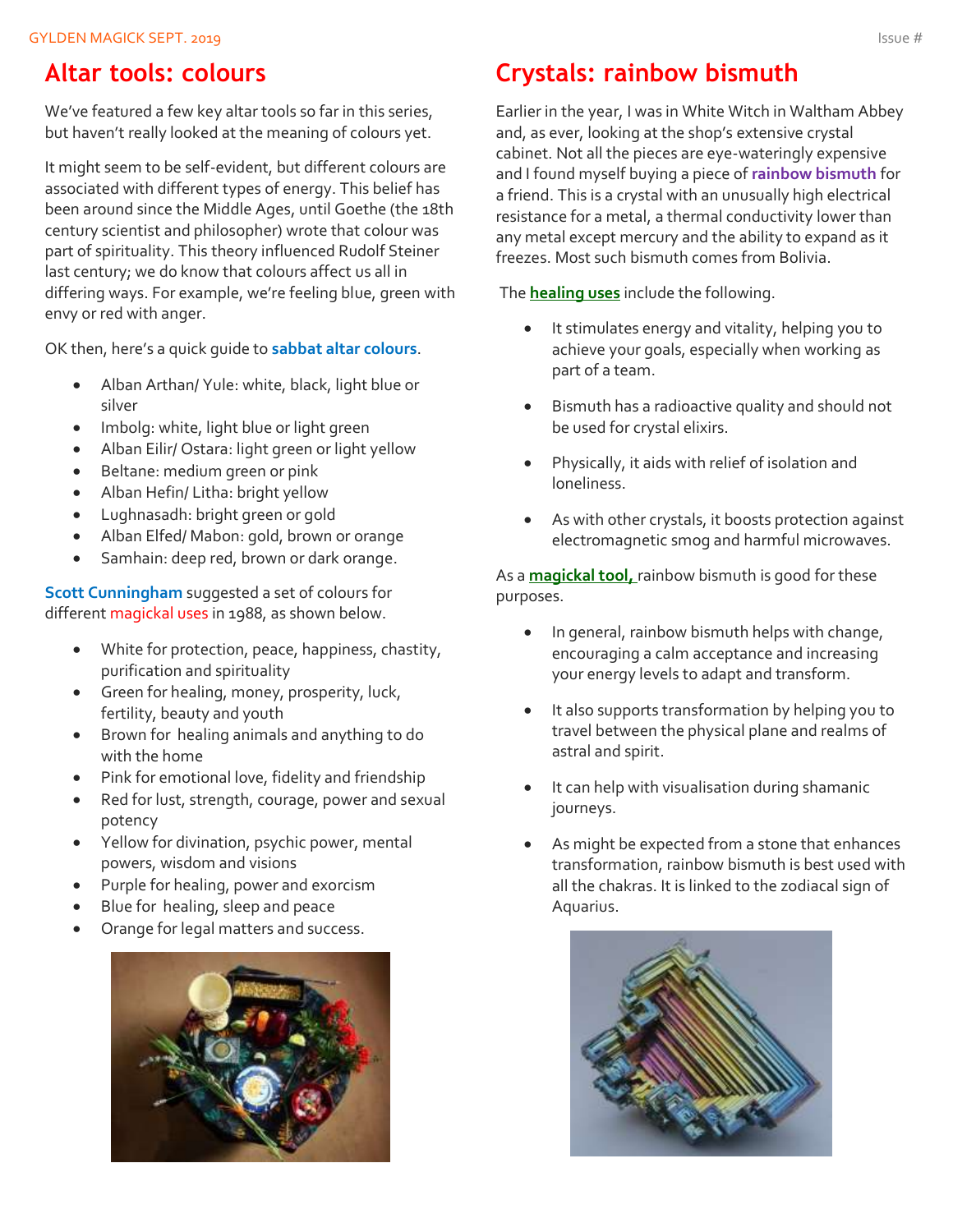### **Altar tools: colours**

We've featured a few key altar tools so far in this series, but haven't really looked at the meaning of colours yet.

It might seem to be self-evident, but different colours are associated with different types of energy. This belief has been around since the Middle Ages, until Goethe (the 18th century scientist and philosopher) wrote that colour was part of spirituality. This theory influenced Rudolf Steiner last century; we do know that colours affect us all in differing ways. For example, we're feeling blue, green with envy or red with anger.

OK then, here's a quick guide to **sabbat altar colours**.

- Alban Arthan/ Yule: white, black, light blue or silver
- Imbolg: white, light blue or light green
- Alban Eilir/ Ostara: light green or light yellow
- Beltane: medium green or pink
- Alban Hefin/ Litha: bright yellow
- Lughnasadh: bright green or gold
- Alban Elfed/ Mabon: gold, brown or orange
- Samhain: deep red, brown or dark orange.

**Scott Cunningham** suggested a set of colours for different magickal uses in 1988, as shown below.

- White for protection, peace, happiness, chastity, purification and spirituality
- Green for healing, money, prosperity, luck, fertility, beauty and youth
- Brown for healing animals and anything to do with the home
- Pink for emotional love, fidelity and friendship
- Red for lust, strength, courage, power and sexual potency
- Yellow for divination, psychic power, mental powers, wisdom and visions
- Purple for healing, power and exorcism
- Blue for healing, sleep and peace
- Orange for legal matters and success.

![](_page_2_Picture_23.jpeg)

### **Crystals: rainbow bismuth**

Earlier in the year, I was in White Witch in Waltham Abbey and, as ever, looking at the shop's extensive crystal cabinet. Not all the pieces are eye-wateringly expensive and I found myself buying a piece of **rainbow bismuth** for a friend. This is a crystal with an unusually high electrical resistance for a metal, a thermal conductivity lower than any metal except mercury and the ability to expand as it freezes. Most such bismuth comes from Bolivia.

The **healing uses** include the following.

- It stimulates energy and vitality, helping you to achieve your goals, especially when working as part of a team.
- Bismuth has a radioactive quality and should not be used for crystal elixirs.
- Physically, it aids with relief of isolation and loneliness.
- As with other crystals, it boosts protection against electromagnetic smog and harmful microwaves.

As a **magickal tool,** rainbow bismuth is good for these purposes.

- In general, rainbow bismuth helps with change, encouraging a calm acceptance and increasing your energy levels to adapt and transform.
- It also supports transformation by helping you to travel between the physical plane and realms of astral and spirit.
- It can help with visualisation during shamanic journeys.
- As might be expected from a stone that enhances transformation, rainbow bismuth is best used with all the chakras. It is linked to the zodiacal sign of Aquarius.

![](_page_2_Picture_36.jpeg)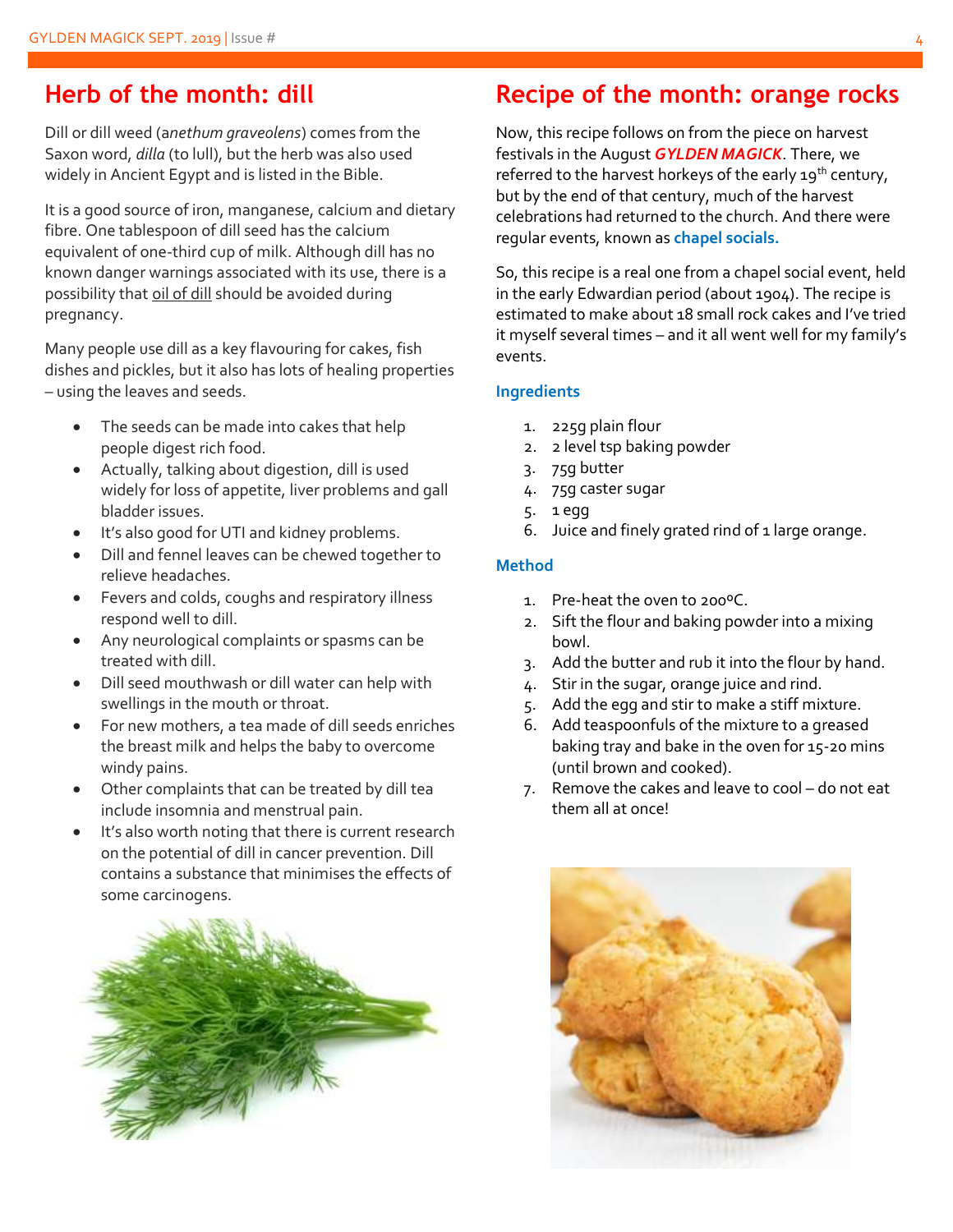### **Herb of the month: dill**

Dill or dill weed (a*nethum graveolens*) comes from the Saxon word, *dilla* (to lull), but the herb was also used widely in Ancient Egypt and is listed in the Bible.

It is a good source of iron, manganese, calcium and dietary fibre. One tablespoon of dill seed has the calcium equivalent of one-third cup of milk. Although dill has no known danger warnings associated with its use, there is a possibility that oil of dill should be avoided during pregnancy.

Many people use dill as a key flavouring for cakes, fish dishes and pickles, but it also has lots of healing properties – using the leaves and seeds.

- The seeds can be made into cakes that help people digest rich food.
- Actually, talking about digestion, dill is used widely for loss of appetite, liver problems and gall bladder issues.
- It's also good for UTI and kidney problems.
- Dill and fennel leaves can be chewed together to relieve headaches.
- Fevers and colds, coughs and respiratory illness respond well to dill.
- Any neurological complaints or spasms can be treated with dill.
- Dill seed mouthwash or dill water can help with swellings in the mouth or throat.
- For new mothers, a tea made of dill seeds enriches the breast milk and helps the baby to overcome windy pains.
- Other complaints that can be treated by dill tea include insomnia and menstrual pain.
- It's also worth noting that there is current research on the potential of dill in cancer prevention. Dill contains a substance that minimises the effects of some carcinogens.

![](_page_3_Picture_15.jpeg)

### **Recipe of the month: orange rocks**

Now, this recipe follows on from the piece on harvest festivals in the August *GYLDEN MAGICK*. There, we referred to the harvest horkeys of the early  $19^{th}$  century, but by the end of that century, much of the harvest celebrations had returned to the church. And there were regular events, known as **chapel socials.**

So, this recipe is a real one from a chapel social event, held in the early Edwardian period (about 1904). The recipe is estimated to make about 18 small rock cakes and I've tried it myself several times – and it all went well for my family's events.

#### **Ingredients**

- 1. 225g plain flour
- 2. 2 level tsp baking powder
- 3. 75g butter
- 4. 75g caster sugar
- 5. 1 egg
- 6. Juice and finely grated rind of 1 large orange.

#### **Method**

- 1. Pre-heat the oven to 200ºC.
- 2. Sift the flour and baking powder into a mixing bowl.
- 3. Add the butter and rub it into the flour by hand.
- 4. Stir in the sugar, orange juice and rind.
- 5. Add the egg and stir to make a stiff mixture.
- 6. Add teaspoonfuls of the mixture to a greased baking tray and bake in the oven for 15-20 mins (until brown and cooked).
- 7. Remove the cakes and leave to cool do not eat them all at once!

![](_page_3_Picture_34.jpeg)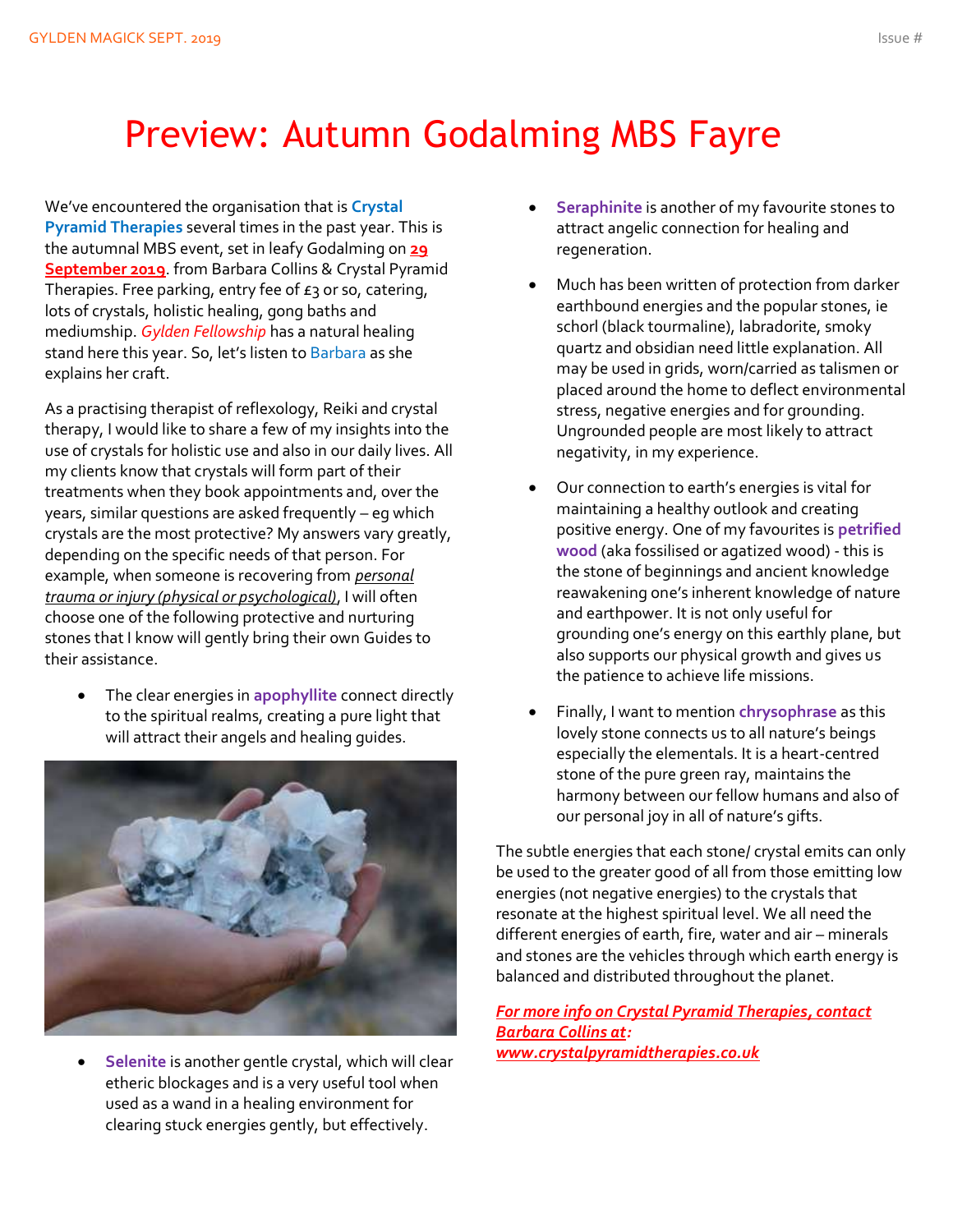## Preview: Autumn Godalming MBS Fayre

We've encountered the organisation that is **Crystal Pyramid Therapies** several times in the past year. This is the autumnal MBS event, set in leafy Godalming on **29 September 2019**. from Barbara Collins & Crystal Pyramid Therapies. Free parking, entry fee of  $E_3$  or so, catering, lots of crystals, holistic healing, gong baths and mediumship. *Gylden Fellowship* has a natural healing stand here this year. So, let's listen to Barbara as she explains her craft.

As a practising therapist of reflexology, Reiki and crystal therapy, I would like to share a few of my insights into the use of crystals for holistic use and also in our daily lives. All my clients know that crystals will form part of their treatments when they book appointments and, over the years, similar questions are asked frequently – eg which crystals are the most protective? My answers vary greatly, depending on the specific needs of that person. For example, when someone is recovering from *personal trauma or injury (physical or psychological)*, I will often choose one of the following protective and nurturing stones that I know will gently bring their own Guides to their assistance.

• The clear energies in **apophyllite** connect directly to the spiritual realms, creating a pure light that will attract their angels and healing guides.

![](_page_4_Picture_5.jpeg)

• **Selenite** is another gentle crystal, which will clear etheric blockages and is a very useful tool when used as a wand in a healing environment for clearing stuck energies gently, but effectively.

- **Seraphinite** is another of my favourite stones to attract angelic connection for healing and regeneration.
- Much has been written of protection from darker earthbound energies and the popular stones, ie schorl (black tourmaline), labradorite, smoky quartz and obsidian need little explanation. All may be used in grids, worn/carried as talismen or placed around the home to deflect environmental stress, negative energies and for grounding. Ungrounded people are most likely to attract negativity, in my experience.
- Our connection to earth's energies is vital for maintaining a healthy outlook and creating positive energy. One of my favourites is **petrified wood** (aka fossilised or agatized wood) - this is the stone of beginnings and ancient knowledge reawakening one's inherent knowledge of nature and earthpower. It is not only useful for grounding one's energy on this earthly plane, but also supports our physical growth and gives us the patience to achieve life missions.
- Finally, I want to mention **chrysophrase** as this lovely stone connects us to all nature's beings especially the elementals. It is a heart-centred stone of the pure green ray, maintains the harmony between our fellow humans and also of our personal joy in all of nature's gifts.

The subtle energies that each stone/ crystal emits can only be used to the greater good of all from those emitting low energies (not negative energies) to the crystals that resonate at the highest spiritual level. We all need the different energies of earth, fire, water and air – minerals and stones are the vehicles through which earth energy is balanced and distributed throughout the planet.

*For more info on Crystal Pyramid Therapies, contact Barbara Collins at: [www.crystalpyramidtherapies.co.uk](http://www.crystalpyramidtherapies.co.uk/)*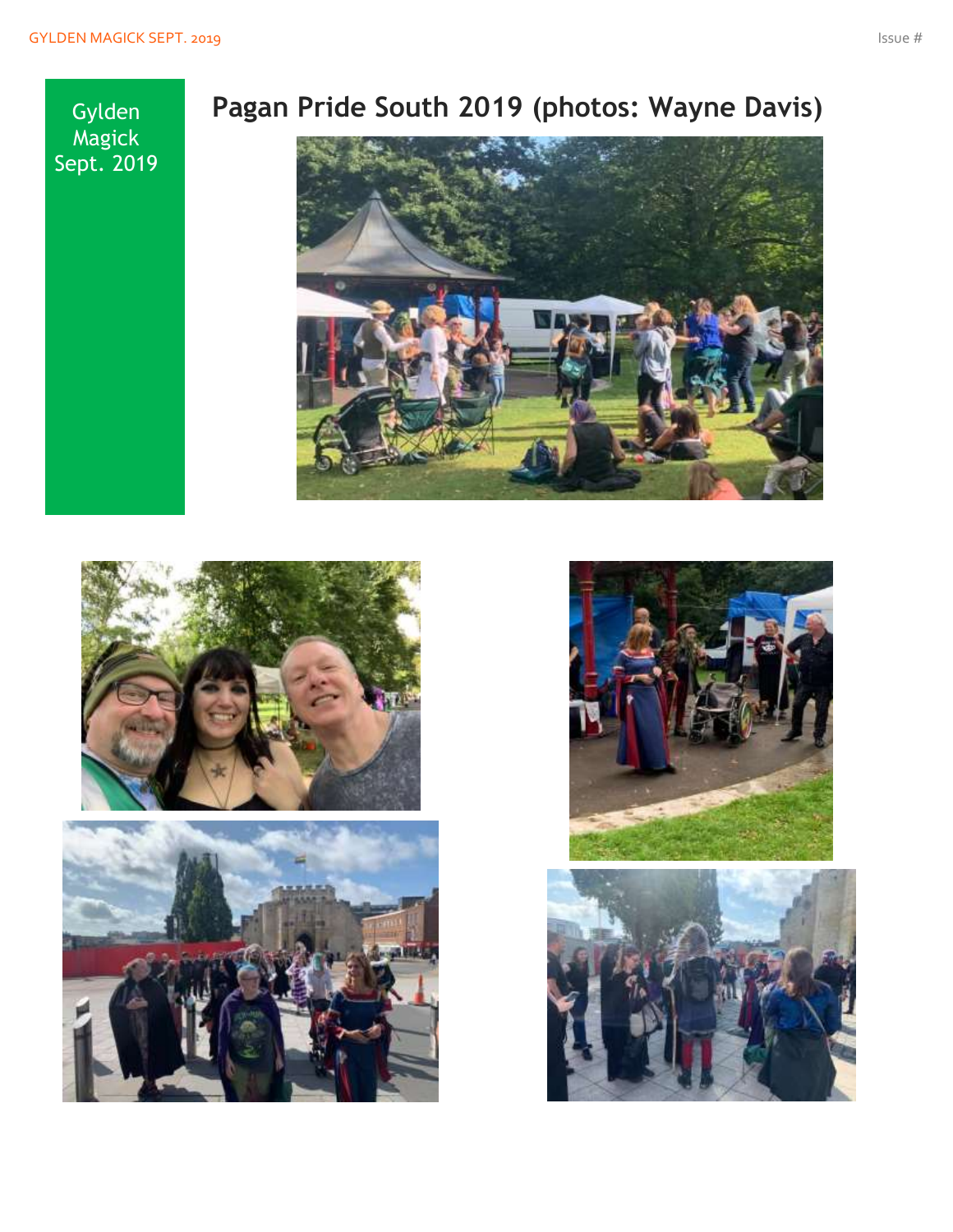**Gylden** Magick Sept. 2019

### **Pagan Pride South 2019 (photos: Wayne Davis)**

![](_page_5_Picture_4.jpeg)

![](_page_5_Picture_5.jpeg)

![](_page_5_Picture_6.jpeg)

![](_page_5_Picture_7.jpeg)

![](_page_5_Picture_8.jpeg)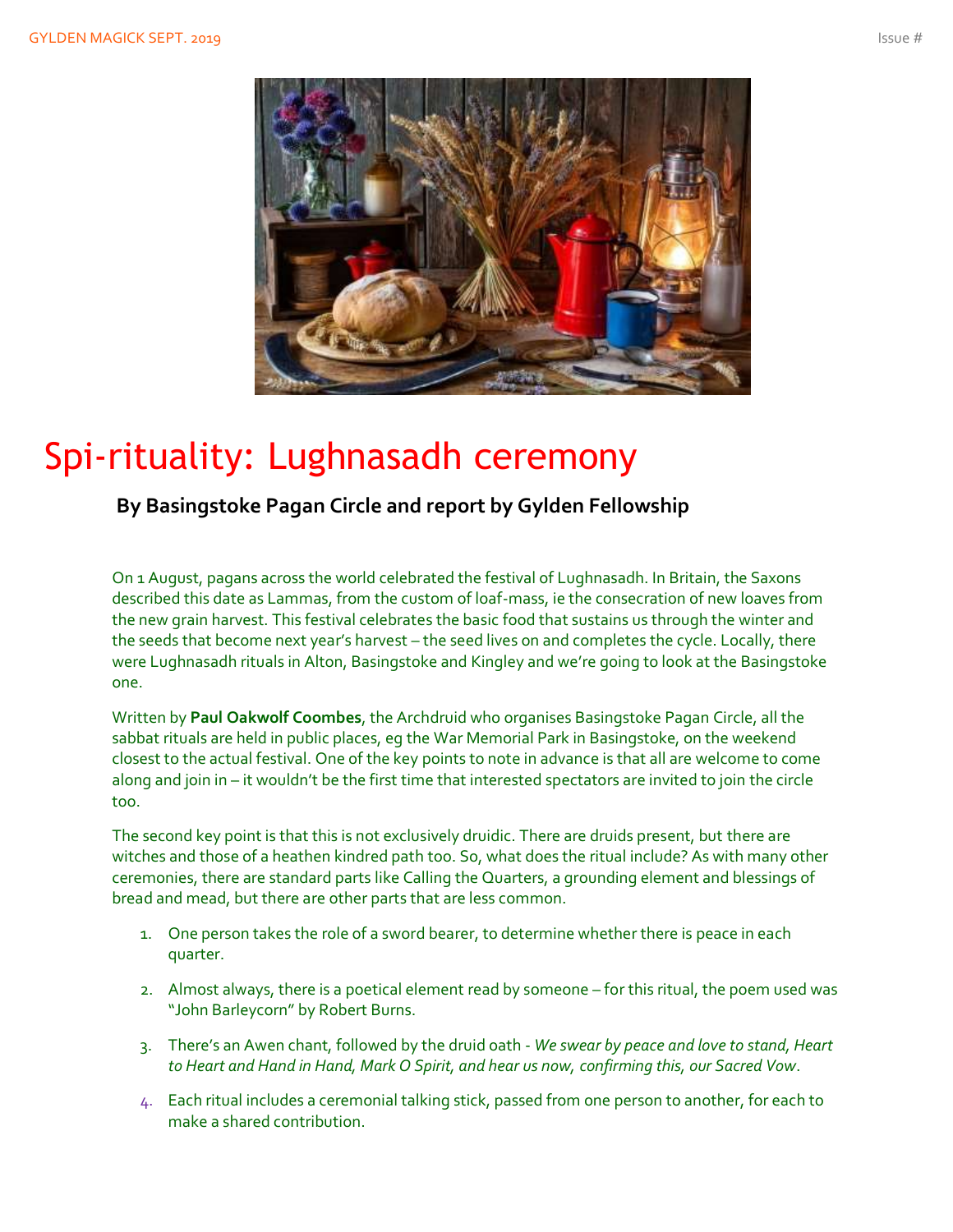![](_page_6_Picture_2.jpeg)

### Spi-rituality: Lughnasadh ceremony

**By Basingstoke Pagan Circle and report by Gylden Fellowship**

On 1 August, pagans across the world celebrated the festival of Lughnasadh. In Britain, the Saxons described this date as Lammas, from the custom of loaf-mass, ie the consecration of new loaves from the new grain harvest. This festival celebrates the basic food that sustains us through the winter and the seeds that become next year's harvest – the seed lives on and completes the cycle. Locally, there were Lughnasadh rituals in Alton, Basingstoke and Kingley and we're going to look at the Basingstoke one.

Written by **Paul Oakwolf Coombes**, the Archdruid who organises Basingstoke Pagan Circle, all the sabbat rituals are held in public places, eg the War Memorial Park in Basingstoke, on the weekend closest to the actual festival. One of the key points to note in advance is that all are welcome to come along and join in – it wouldn't be the first time that interested spectators are invited to join the circle too.

The second key point is that this is not exclusively druidic. There are druids present, but there are witches and those of a heathen kindred path too. So, what does the ritual include? As with many other ceremonies, there are standard parts like Calling the Quarters, a grounding element and blessings of bread and mead, but there are other parts that are less common.

- 1. One person takes the role of a sword bearer, to determine whether there is peace in each quarter.
- 2. Almost always, there is a poetical element read by someone for this ritual, the poem used was "John Barleycorn" by Robert Burns.
- 3. There's an Awen chant, followed by the druid oath *We swear by peace and love to stand, Heart to Heart and Hand in Hand, Mark O Spirit, and hear us now, confirming this, our Sacred Vow*.
- 4. Each ritual includes a ceremonial talking stick, passed from one person to another, for each to make a shared contribution.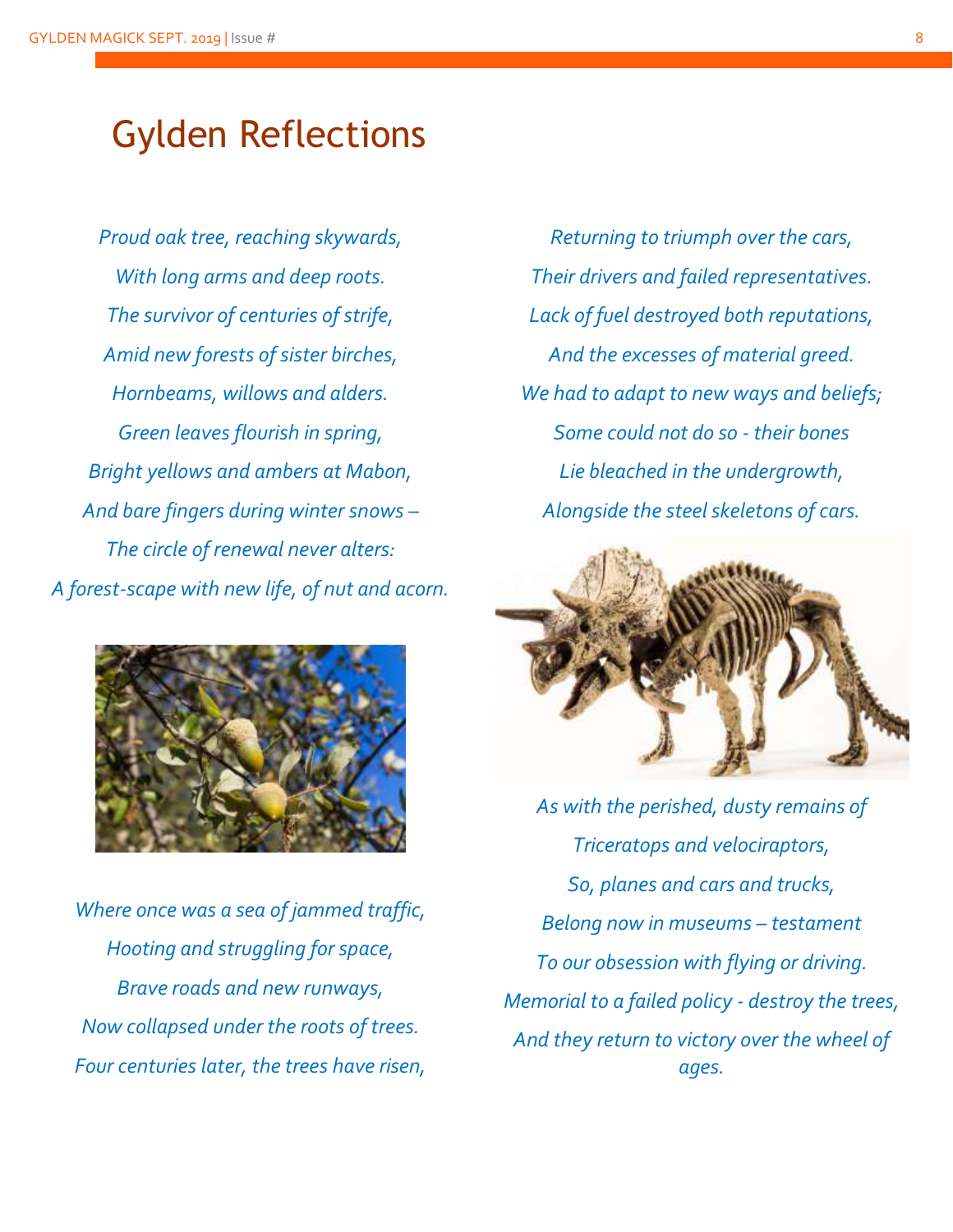### Gylden Reflections

*Proud oak tree, reaching skywards, With long arms and deep roots. The survivor of centuries of strife, Amid new forests of sister birches, Hornbeams, willows and alders. Green leaves flourish in spring, Bright yellows and ambers at Mabon, And bare fingers during winter snows – The circle of renewal never alters: A forest-scape with new life, of nut and acorn.*

![](_page_7_Picture_3.jpeg)

*Where once was a sea of jammed traffic, Hooting and struggling for space, Brave roads and new runways, Now collapsed under the roots of trees. Four centuries later, the trees have risen,*

*Returning to triumph over the cars, Their drivers and failed representatives. Lack of fuel destroyed both reputations, And the excesses of material greed. We had to adapt to new ways and beliefs; Some could not do so - their bones Lie bleached in the undergrowth, Alongside the steel skeletons of cars.*

![](_page_7_Picture_6.jpeg)

*As with the perished, dusty remains of Triceratops and velociraptors, So, planes and cars and trucks, Belong now in museums – testament To our obsession with flying or driving. Memorial to a failed policy - destroy the trees, And they return to victory over the wheel of ages.*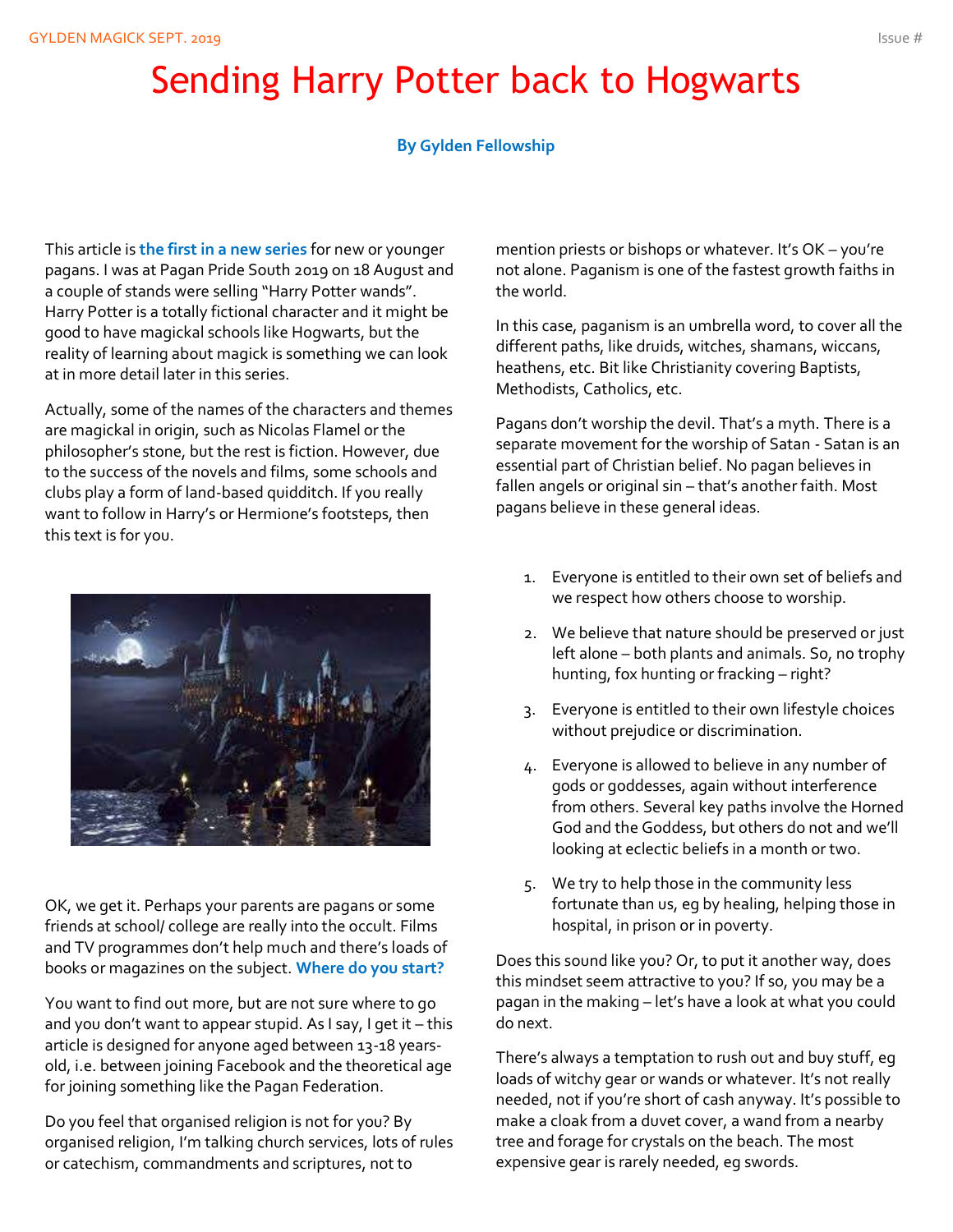## Sending Harry Potter back to Hogwarts

#### **By Gylden Fellowship**

This article is **the first in a new series** for new or younger pagans. I was at Pagan Pride South 2019 on 18 August and a couple of stands were selling "Harry Potter wands". Harry Potter is a totally fictional character and it might be good to have magickal schools like Hogwarts, but the reality of learning about magick is something we can look at in more detail later in this series.

Actually, some of the names of the characters and themes are magickal in origin, such as Nicolas Flamel or the philosopher's stone, but the rest is fiction. However, due to the success of the novels and films, some schools and clubs play a form of land-based quidditch. If you really want to follow in Harry's or Hermione's footsteps, then this text is for you.

![](_page_8_Picture_5.jpeg)

OK, we get it. Perhaps your parents are pagans or some friends at school/ college are really into the occult. Films and TV programmes don't help much and there's loads of books or magazines on the subject. **Where do you start?** 

You want to find out more, but are not sure where to go and you don't want to appear stupid. As I say, I get it – this article is designed for anyone aged between 13-18 yearsold, i.e. between joining Facebook and the theoretical age for joining something like the Pagan Federation.

Do you feel that organised religion is not for you? By organised religion, I'm talking church services, lots of rules or catechism, commandments and scriptures, not to

mention priests or bishops or whatever. It's OK – you're not alone. Paganism is one of the fastest growth faiths in the world.

In this case, paganism is an umbrella word, to cover all the different paths, like druids, witches, shamans, wiccans, heathens, etc. Bit like Christianity covering Baptists, Methodists, Catholics, etc.

Pagans don't worship the devil. That's a myth. There is a separate movement for the worship of Satan - Satan is an essential part of Christian belief. No pagan believes in fallen angels or original sin – that's another faith. Most pagans believe in these general ideas.

- 1. Everyone is entitled to their own set of beliefs and we respect how others choose to worship.
- 2. We believe that nature should be preserved or just left alone – both plants and animals. So, no trophy hunting, fox hunting or fracking – right?
- 3. Everyone is entitled to their own lifestyle choices without prejudice or discrimination.
- 4. Everyone is allowed to believe in any number of gods or goddesses, again without interference from others. Several key paths involve the Horned God and the Goddess, but others do not and we'll looking at eclectic beliefs in a month or two.
- 5. We try to help those in the community less fortunate than us, eg by healing, helping those in hospital, in prison or in poverty.

Does this sound like you? Or, to put it another way, does this mindset seem attractive to you? If so, you may be a pagan in the making – let's have a look at what you could do next.

There's always a temptation to rush out and buy stuff, eg loads of witchy gear or wands or whatever. It's not really needed, not if you're short of cash anyway. It's possible to make a cloak from a duvet cover, a wand from a nearby tree and forage for crystals on the beach. The most expensive gear is rarely needed, eg swords.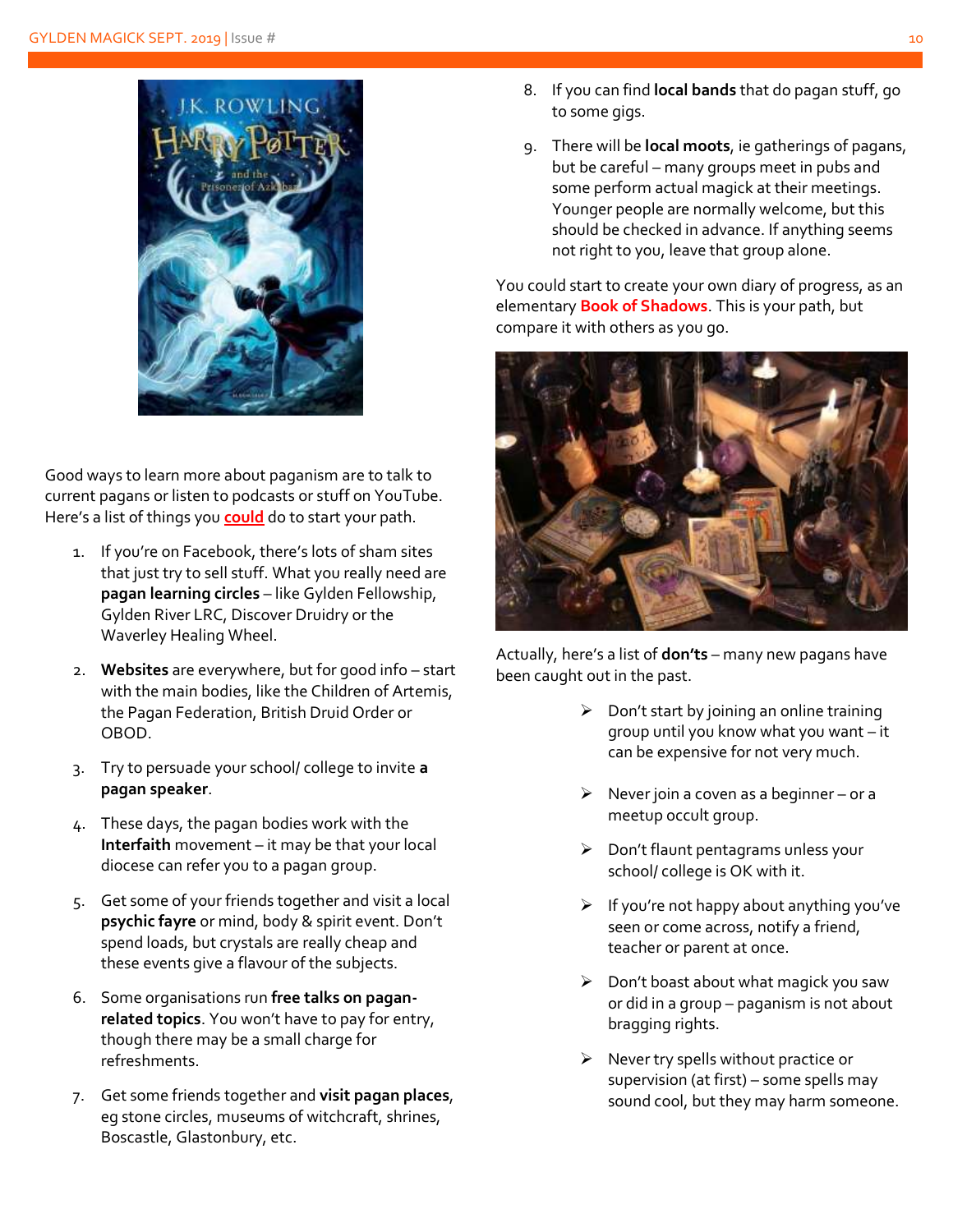![](_page_9_Picture_1.jpeg)

Good ways to learn more about paganism are to talk to current pagans or listen to podcasts or stuff on YouTube. Here's a list of things you **could** do to start your path.

- 1. If you're on Facebook, there's lots of sham sites that just try to sell stuff. What you really need are **pagan learning circles** – like Gylden Fellowship, Gylden River LRC, Discover Druidry or the Waverley Healing Wheel.
- 2. **Websites** are everywhere, but for good info start with the main bodies, like the Children of Artemis, the Pagan Federation, British Druid Order or OBOD.
- 3. Try to persuade your school/ college to invite **a pagan speaker**.
- 4. These days, the pagan bodies work with the **Interfaith** movement – it may be that your local diocese can refer you to a pagan group.
- 5. Get some of your friends together and visit a local **psychic fayre** or mind, body & spirit event. Don't spend loads, but crystals are really cheap and these events give a flavour of the subjects.
- 6. Some organisations run **free talks on paganrelated topics**. You won't have to pay for entry, though there may be a small charge for refreshments.
- 7. Get some friends together and **visit pagan places**, eg stone circles, museums of witchcraft, shrines, Boscastle, Glastonbury, etc.
- 8. If you can find **local bands** that do pagan stuff, go to some gigs.
- 9. There will be **local moots**, ie gatherings of pagans, but be careful – many groups meet in pubs and some perform actual magick at their meetings. Younger people are normally welcome, but this should be checked in advance. If anything seems not right to you, leave that group alone.

You could start to create your own diary of progress, as an elementary **Book of Shadows**. This is your path, but compare it with others as you go.

![](_page_9_Picture_13.jpeg)

Actually, here's a list of **don'ts** – many new pagans have been caught out in the past.

- $\triangleright$  Don't start by joining an online training group until you know what you want – it can be expensive for not very much.
- $\triangleright$  Never join a coven as a beginner or a meetup occult group.
- ➢ Don't flaunt pentagrams unless your school/ college is OK with it.
- $\triangleright$  If you're not happy about anything you've seen or come across, notify a friend, teacher or parent at once.
- $\triangleright$  Don't boast about what magick you saw or did in a group – paganism is not about bragging rights.
- ➢ Never try spells without practice or supervision (at first) – some spells may sound cool, but they may harm someone.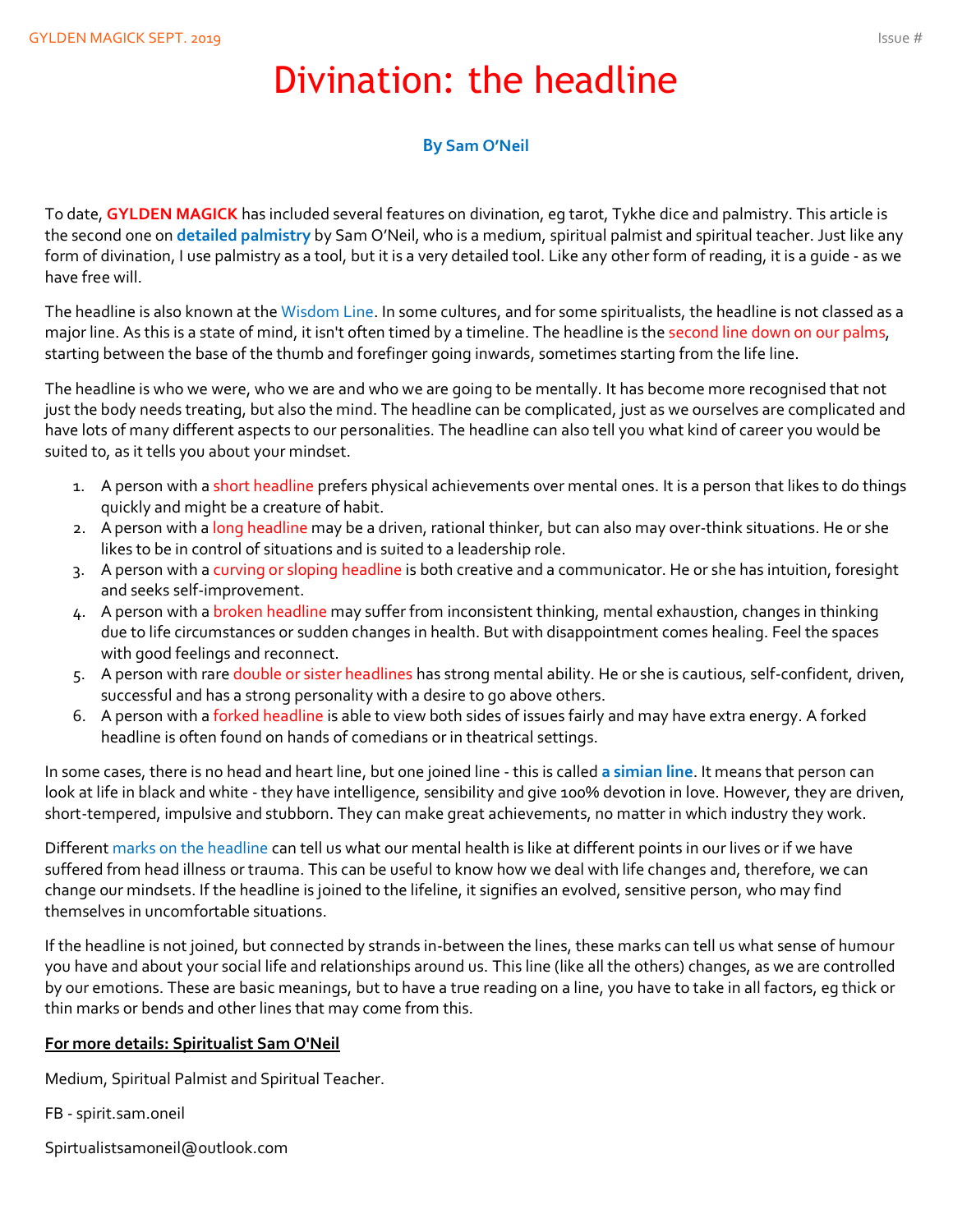### Divination: the headline

#### **By Sam O'Neil**

To date, **GYLDEN MAGICK** has included several features on divination, eg tarot, Tykhe dice and palmistry. This article is the second one on **detailed palmistry** by Sam O'Neil, who is a medium, spiritual palmist and spiritual teacher. Just like any form of divination, I use palmistry as a tool, but it is a very detailed tool. Like any other form of reading, it is a guide - as we have free will.

The headline is also known at the Wisdom Line. In some cultures, and for some spiritualists, the headline is not classed as a major line. As this is a state of mind, it isn't often timed by a timeline. The headline is the second line down on our palms, starting between the base of the thumb and forefinger going inwards, sometimes starting from the life line.

The headline is who we were, who we are and who we are going to be mentally. It has become more recognised that not just the body needs treating, but also the mind. The headline can be complicated, just as we ourselves are complicated and have lots of many different aspects to our personalities. The headline can also tell you what kind of career you would be suited to, as it tells you about your mindset.

- 1. A person with a short headline prefers physical achievements over mental ones. It is a person that likes to do things quickly and might be a creature of habit.
- 2. A person with a long headline may be a driven, rational thinker, but can also may over-think situations. He or she likes to be in control of situations and is suited to a leadership role.
- 3. A person with a curving or sloping headline is both creative and a communicator. He or she has intuition, foresight and seeks self-improvement.
- 4. A person with a broken headline may suffer from inconsistent thinking, mental exhaustion, changes in thinking due to life circumstances or sudden changes in health. But with disappointment comes healing. Feel the spaces with good feelings and reconnect.
- 5. A person with rare double or sister headlines has strong mental ability. He or she is cautious, self-confident, driven, successful and has a strong personality with a desire to go above others.
- 6. A person with a forked headline is able to view both sides of issues fairly and may have extra energy. A forked headline is often found on hands of comedians or in theatrical settings.

In some cases, there is no head and heart line, but one joined line - this is called **a simian line**. It means that person can look at life in black and white - they have intelligence, sensibility and give 100% devotion in love. However, they are driven, short-tempered, impulsive and stubborn. They can make great achievements, no matter in which industry they work.

Different marks on the headline can tell us what our mental health is like at different points in our lives or if we have suffered from head illness or trauma. This can be useful to know how we deal with life changes and, therefore, we can change our mindsets. If the headline is joined to the lifeline, it signifies an evolved, sensitive person, who may find themselves in uncomfortable situations.

If the headline is not joined, but connected by strands in-between the lines, these marks can tell us what sense of humour you have and about your social life and relationships around us. This line (like all the others) changes, as we are controlled by our emotions. These are basic meanings, but to have a true reading on a line, you have to take in all factors, eg thick or thin marks or bends and other lines that may come from this.

#### **For more details: Spiritualist Sam O'Neil**

Medium, Spiritual Palmist and Spiritual Teacher.

FB - spirit.sam.oneil

Spirtualistsamoneil@outlook.com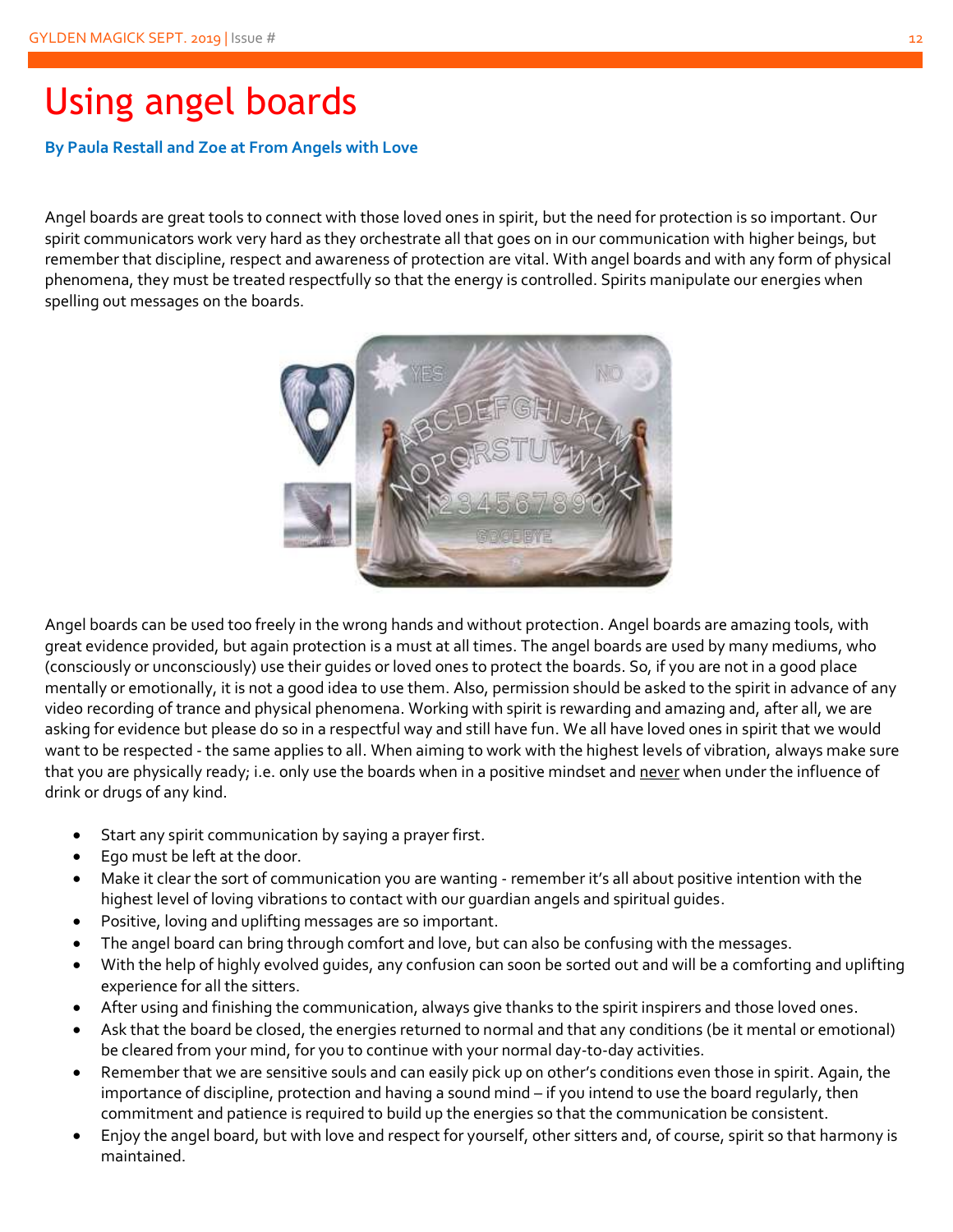### Using angel boards

#### **By Paula Restall and Zoe at From Angels with Love**

Angel boards are great tools to connect with those loved ones in spirit, but the need for protection is so important. Our spirit communicators work very hard as they orchestrate all that goes on in our communication with higher beings, but remember that discipline, respect and awareness of protection are vital. With angel boards and with any form of physical phenomena, they must be treated respectfully so that the energy is controlled. Spirits manipulate our energies when spelling out messages on the boards.

![](_page_11_Picture_4.jpeg)

Angel boards can be used too freely in the wrong hands and without protection. Angel boards are amazing tools, with great evidence provided, but again protection is a must at all times. The angel boards are used by many mediums, who (consciously or unconsciously) use their guides or loved ones to protect the boards. So, if you are not in a good place mentally or emotionally, it is not a good idea to use them. Also, permission should be asked to the spirit in advance of any video recording of trance and physical phenomena. Working with spirit is rewarding and amazing and, after all, we are asking for evidence but please do so in a respectful way and still have fun. We all have loved ones in spirit that we would want to be respected - the same applies to all. When aiming to work with the highest levels of vibration, always make sure that you are physically ready; i.e. only use the boards when in a positive mindset and never when under the influence of drink or drugs of any kind.

- Start any spirit communication by saying a prayer first.
- Ego must be left at the door.
- Make it clear the sort of communication you are wanting remember it's all about positive intention with the highest level of loving vibrations to contact with our guardian angels and spiritual guides.
- Positive, loving and uplifting messages are so important.
- The angel board can bring through comfort and love, but can also be confusing with the messages.
- With the help of highly evolved guides, any confusion can soon be sorted out and will be a comforting and uplifting experience for all the sitters.
- After using and finishing the communication, always give thanks to the spirit inspirers and those loved ones.
- Ask that the board be closed, the energies returned to normal and that any conditions (be it mental or emotional) be cleared from your mind, for you to continue with your normal day-to-day activities.
- Remember that we are sensitive souls and can easily pick up on other's conditions even those in spirit. Again, the importance of discipline, protection and having a sound mind – if you intend to use the board regularly, then commitment and patience is required to build up the energies so that the communication be consistent.
- Enjoy the angel board, but with love and respect for yourself, other sitters and, of course, spirit so that harmony is maintained.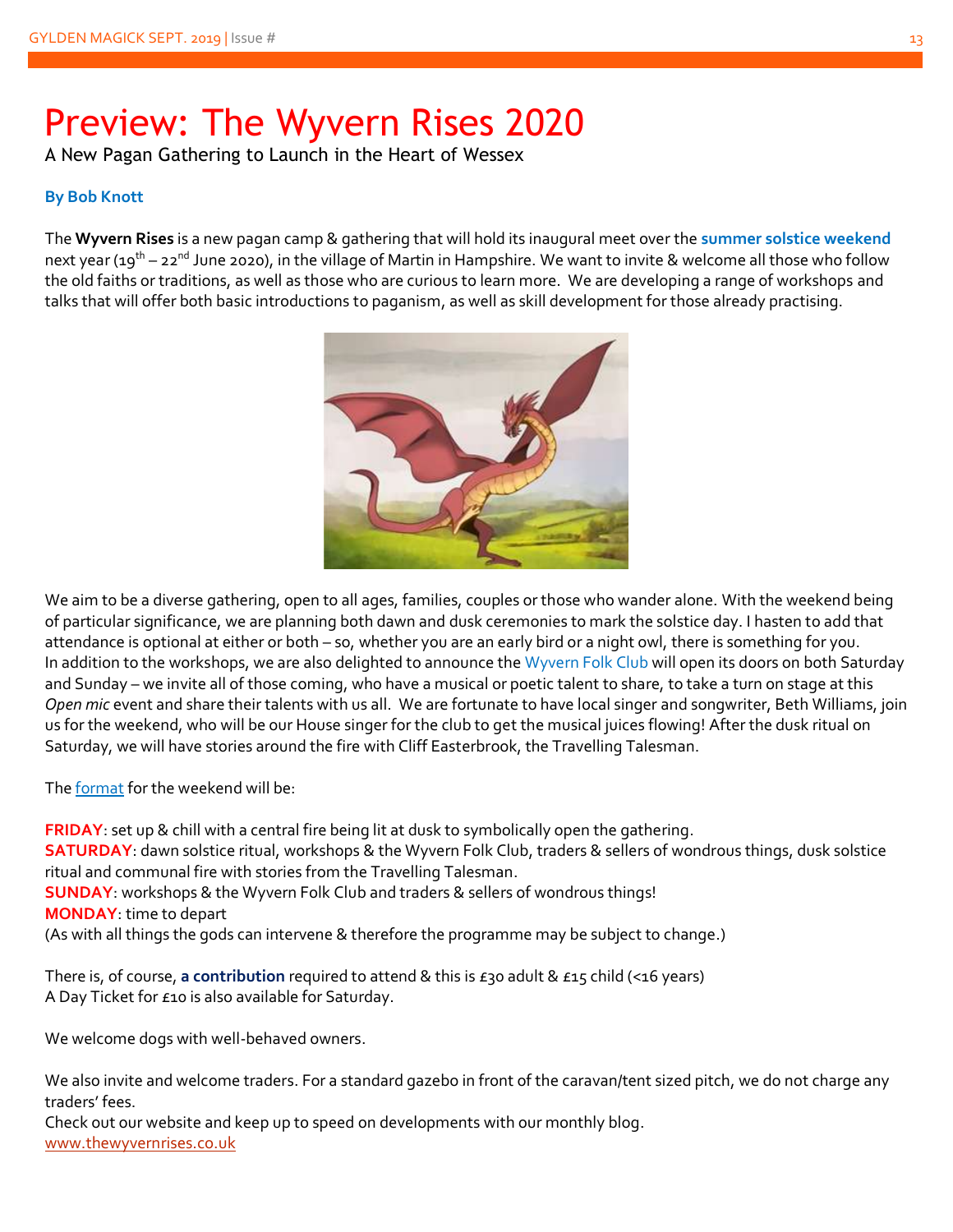## Preview: The Wyvern Rises 2020

A New Pagan Gathering to Launch in the Heart of Wessex

#### **By Bob Knott**

The **Wyvern Rises** is a new pagan camp & gathering that will hold its inaugural meet over the **summer solstice weekend** next year (19<sup>th</sup> – 22<sup>nd</sup> June 2020), in the village of Martin in Hampshire. We want to invite & welcome all those who follow the old faiths or traditions, as well as those who are curious to learn more. We are developing a range of workshops and talks that will offer both basic introductions to paganism, as well as skill development for those already practising.

![](_page_12_Picture_5.jpeg)

We aim to be a diverse gathering, open to all ages, families, couples or those who wander alone. With the weekend being of particular significance, we are planning both dawn and dusk ceremonies to mark the solstice day. I hasten to add that attendance is optional at either or both – so, whether you are an early bird or a night owl, there is something for you. In addition to the workshops, we are also delighted to announce the Wyvern Folk Club will open its doors on both Saturday and Sunday – we invite all of those coming, who have a musical or poetic talent to share, to take a turn on stage at this *Open mic* event and share their talents with us all. We are fortunate to have local singer and songwriter, Beth Williams, join us for the weekend, who will be our House singer for the club to get the musical juices flowing! After the dusk ritual on Saturday, we will have stories around the fire with Cliff Easterbrook, the Travelling Talesman.

The format for the weekend will be:

**FRIDAY**: set up & chill with a central fire being lit at dusk to symbolically open the gathering. **SATURDAY**: dawn solstice ritual, workshops & the Wyvern Folk Club, traders & sellers of wondrous things, dusk solstice ritual and communal fire with stories from the Travelling Talesman. **SUNDAY**: workshops & the Wyvern Folk Club and traders & sellers of wondrous things! **MONDAY**: time to depart (As with all things the gods can intervene & therefore the programme may be subject to change.)

There is, of course, **a contribution** required to attend & this is £30 adult & £15 child (<16 years) A Day Ticket for £10 is also available for Saturday.

We welcome dogs with well-behaved owners.

We also invite and welcome traders. For a standard gazebo in front of the caravan/tent sized pitch, we do not charge any traders' fees.

Check out our website and keep up to speed on developments with our monthly blog. [www.thewyvernrises.co.uk](http://www.thewyvernrises.co.uk/)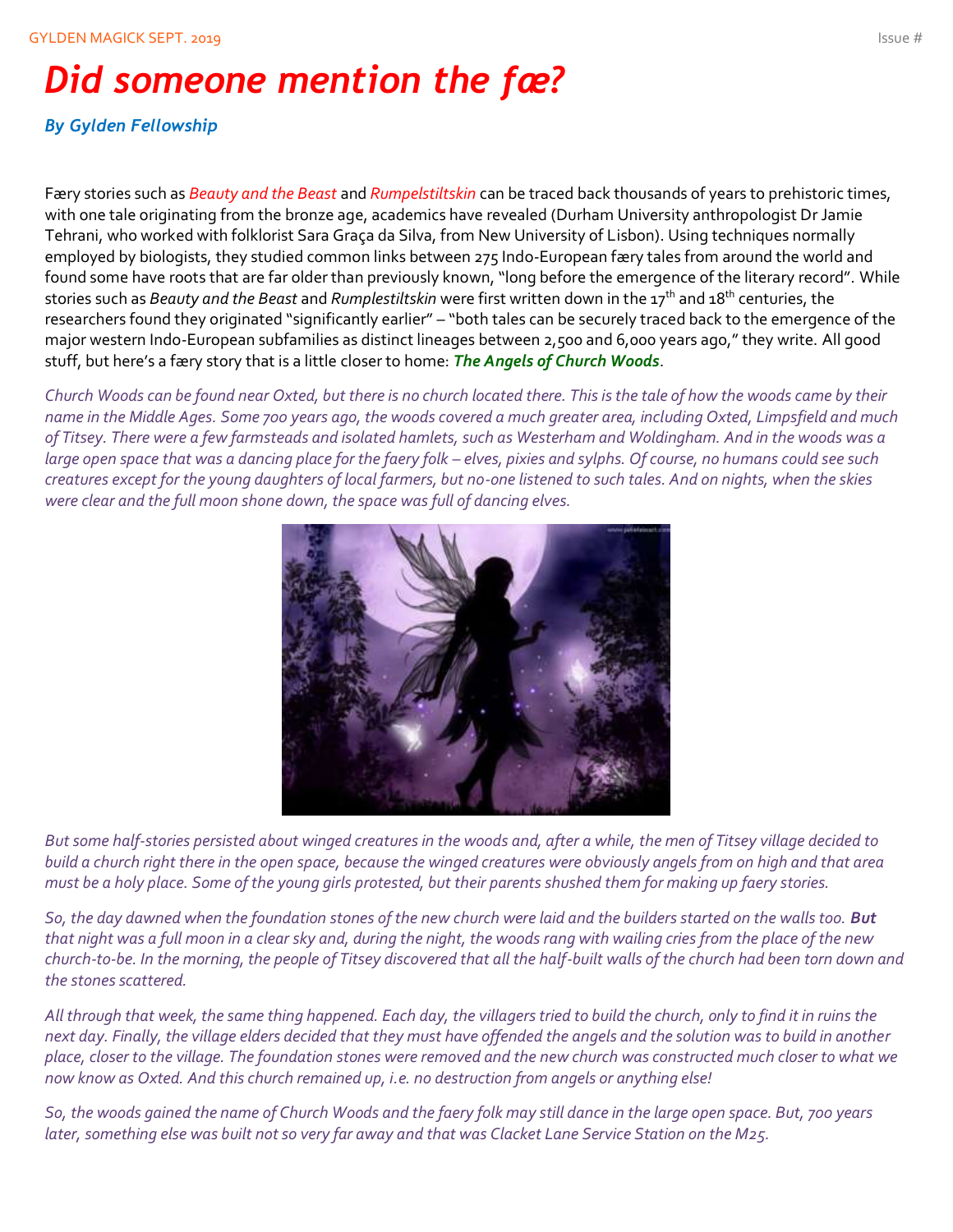### *Did someone mention the fæ?*

#### *By Gylden Fellowship*

Færy stories such as *Beauty and the Beast* and *Rumpelstiltskin* can be traced back thousands of years to prehistoric times, with one tale originating from the bronze age, academics have revealed (Durham University anthropologist Dr Jamie Tehrani, who worked with folklorist Sara Graça da Silva, from New University of Lisbon). Using techniques normally employed by biologists, [they studied](http://rsos.royalsocietypublishing.org/content/3/1/150645#F4) common links between 275 Indo-European færy tales from around the world and found some have roots that are far older than previously known, "long before the emergence of the literary record". While stories such as *Beauty and the Beast* and *Rumplestiltskin* were first written down in the 17th and 18th centuries, the researchers found they originated "significantly earlier" – "both tales can be securely traced back to the emergence of the major western Indo-European subfamilies as distinct lineages between 2,500 and 6,000 years ago," they write. All good stuff, but here's a færy story that is a little closer to home: *The Angels of Church Woods*.

*Church Woods can be found near Oxted, but there is no church located there. This is the tale of how the woods came by their name in the Middle Ages. Some 700 years ago, the woods covered a much greater area, including Oxted, Limpsfield and much of Titsey. There were a few farmsteads and isolated hamlets, such as Westerham and Woldingham. And in the woods was a*  large open space that was a dancing place for the faery folk - elves, pixies and sylphs. Of course, no humans could see such *creatures except for the young daughters of local farmers, but no-one listened to such tales. And on nights, when the skies were clear and the full moon shone down, the space was full of dancing elves.*

![](_page_13_Picture_5.jpeg)

*But some half-stories persisted about winged creatures in the woods and, after a while, the men of Titsey village decided to build a church right there in the open space, because the winged creatures were obviously angels from on high and that area must be a holy place. Some of the young girls protested, but their parents shushed them for making up faery stories.*

*So, the day dawned when the foundation stones of the new church were laid and the builders started on the walls too. But that night was a full moon in a clear sky and, during the night, the woods rang with wailing cries from the place of the new church-to-be. In the morning, the people of Titsey discovered that all the half-built walls of the church had been torn down and the stones scattered.*

*All through that week, the same thing happened. Each day, the villagers tried to build the church, only to find it in ruins the next day. Finally, the village elders decided that they must have offended the angels and the solution was to build in another place, closer to the village. The foundation stones were removed and the new church was constructed much closer to what we now know as Oxted. And this church remained up, i.e. no destruction from angels or anything else!*

*So, the woods gained the name of Church Woods and the faery folk may still dance in the large open space. But, 700 years later, something else was built not so very far away and that was Clacket Lane Service Station on the M25.*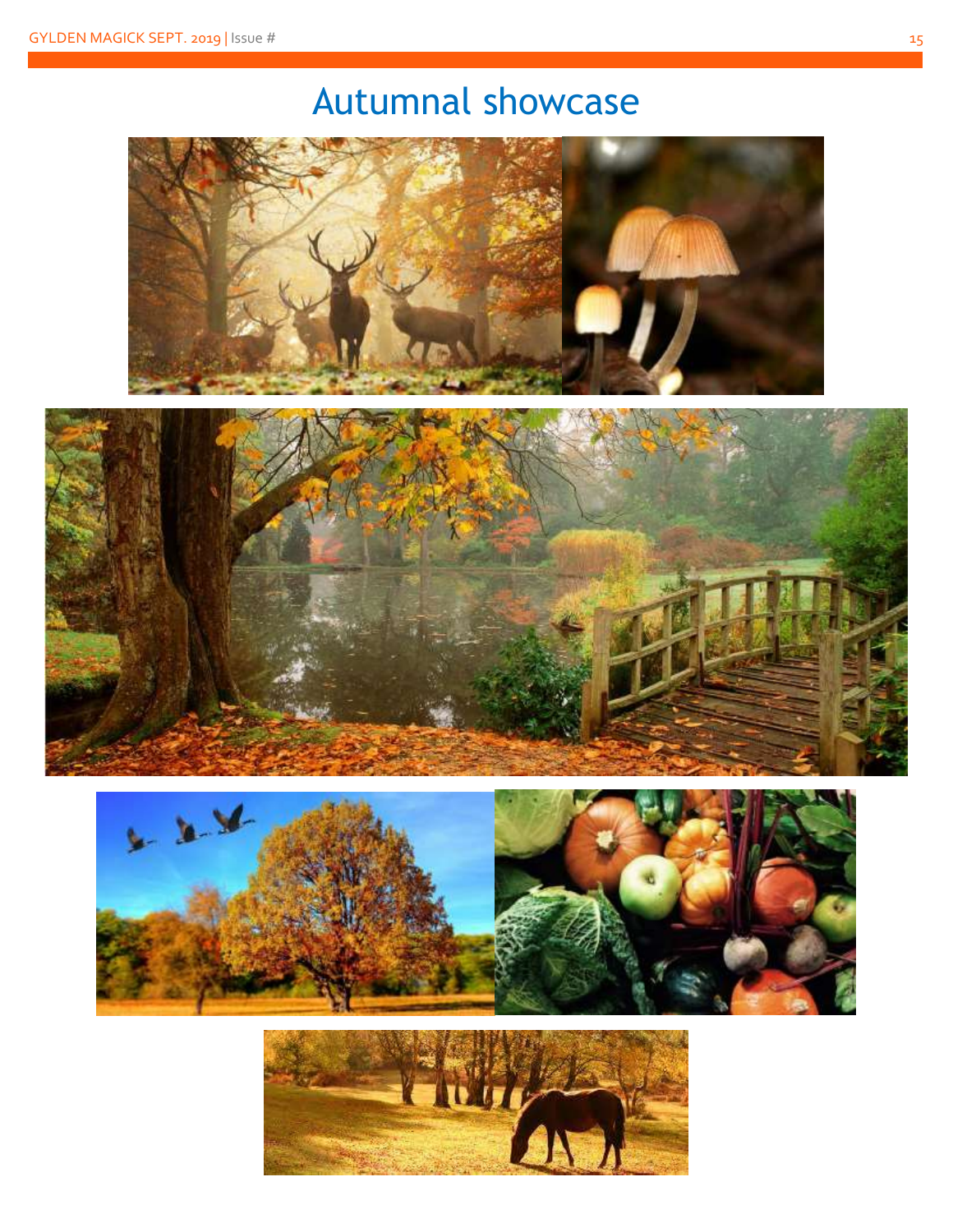## Autumnal showcase

![](_page_14_Picture_2.jpeg)

![](_page_14_Picture_3.jpeg)

![](_page_14_Picture_4.jpeg)

![](_page_14_Picture_5.jpeg)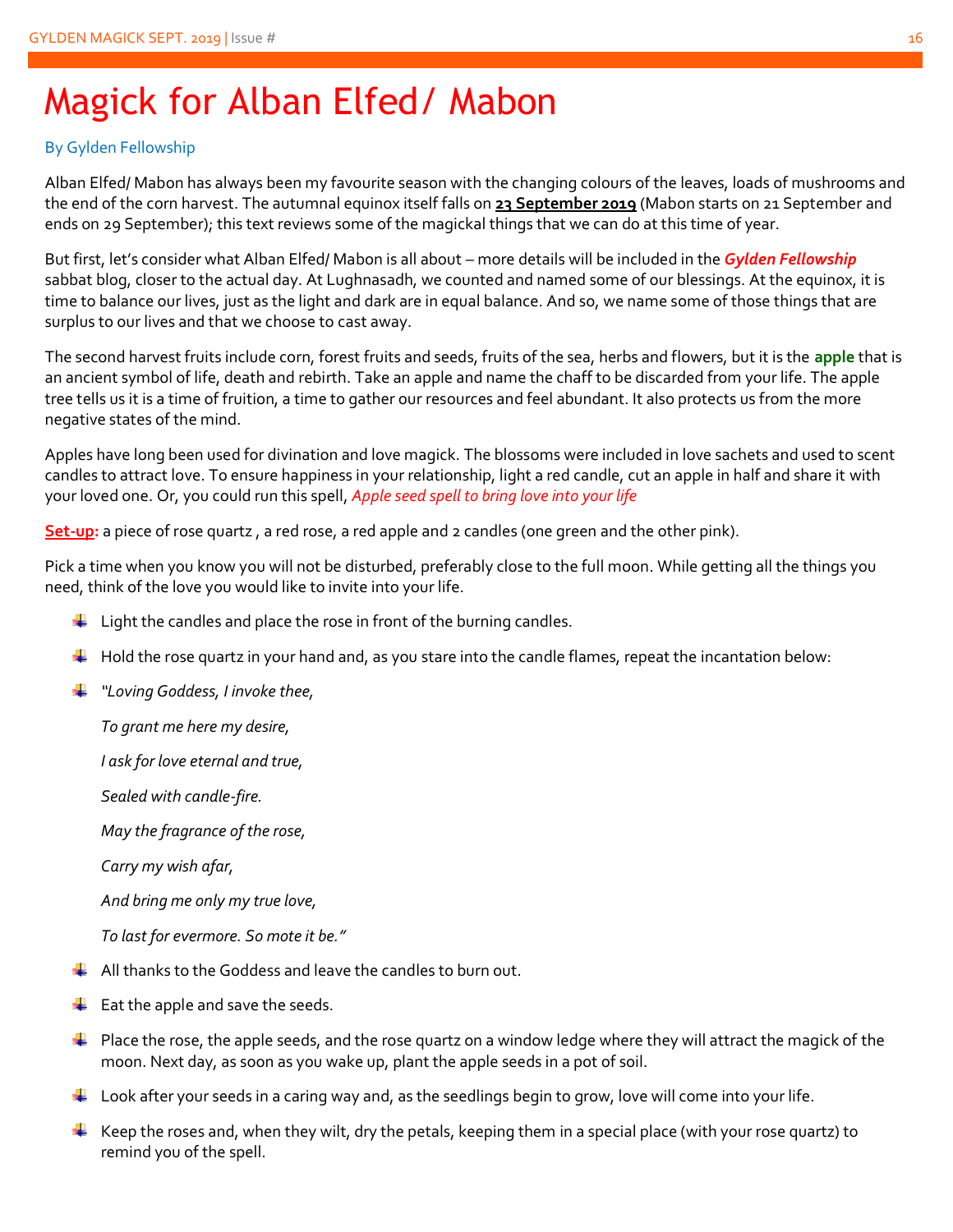## Magick for Alban Elfed/ Mabon

#### By Gylden Fellowship

Alban Elfed/ Mabon has always been my favourite season with the changing colours of the leaves, loads of mushrooms and the end of the corn harvest. The autumnal equinox itself falls on **23 September 2019** (Mabon starts on 21 September and ends on 29 September); this text reviews some of the magickal things that we can do at this time of year.

But first, let's consider what Alban Elfed/ Mabon is all about – more details will be included in the *Gylden Fellowship* sabbat blog, closer to the actual day. At Lughnasadh, we counted and named some of our blessings. At the equinox, it is time to balance our lives, just as the light and dark are in equal balance. And so, we name some of those things that are surplus to our lives and that we choose to cast away.

The second harvest fruits include corn, forest fruits and seeds, fruits of the sea, herbs and flowers, but it is the **apple** that is an ancient symbol of life, death and rebirth. Take an apple and name the chaff to be discarded from your life. The apple tree tells us it is a time of fruition, a time to gather our resources and feel abundant. It also protects us from the more negative states of the mind.

Apples have long been used for divination and love magick. The blossoms were included in love sachets and used to scent candles to attract love. To ensure happiness in your relationship, light a red candle, cut an apple in half and share it with your loved one. Or, you could run this spell, *Apple seed spell to bring love into your life*

**Set-up:** a piece of rose quartz , a red rose, a red apple and 2 candles (one green and the other pink).

Pick a time when you know you will not be disturbed, preferably close to the full moon. While getting all the things you need, think of the love you would like to invite into your life.

- $\downarrow$  Light the candles and place the rose in front of the burning candles.
- $\ddot{\phantom{1}}$  Hold the rose quartz in your hand and, as you stare into the candle flames, repeat the incantation below:
- *"Loving Goddess, I invoke thee,*

*To grant me here my desire,*

*I ask for love eternal and true,*

*Sealed with candle-fire.*

*May the fragrance of the rose,*

*Carry my wish afar,*

*And bring me only my true love,*

*To last for evermore. So mote it be."*

- $\downarrow$  All thanks to the Goddess and leave the candles to burn out.
- $\div$  Eat the apple and save the seeds.
- $\ddot{\phantom{1}}$  Place the rose, the apple seeds, and the rose quartz on a window ledge where they will attract the magick of the moon. Next day, as soon as you wake up, plant the apple seeds in a pot of soil.
- $\ddot{\phantom{1}}$  Look after your seeds in a caring way and, as the seedlings begin to grow, love will come into your life.
- Keep the roses and, when they wilt, dry the petals, keeping them in a special place (with your rose quartz) to remind you of the spell.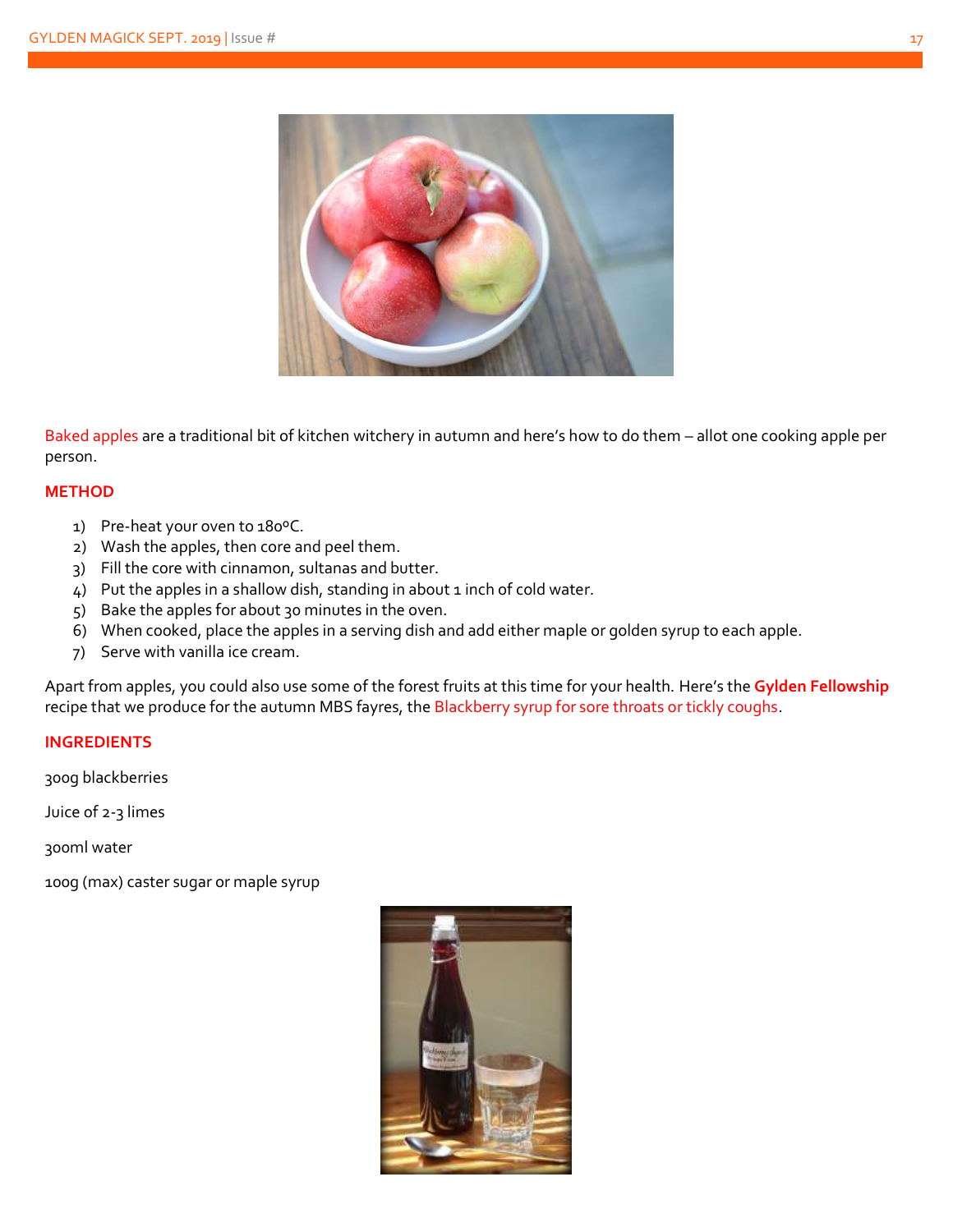![](_page_16_Picture_1.jpeg)

Baked apples are a traditional bit of kitchen witchery in autumn and here's how to do them – allot one cooking apple per person.

#### **METHOD**

- 1) Pre-heat your oven to 180ºC.
- 2) Wash the apples, then core and peel them.
- 3) Fill the core with cinnamon, sultanas and butter.
- 4) Put the apples in a shallow dish, standing in about 1 inch of cold water.
- 5) Bake the apples for about 30 minutes in the oven.
- 6) When cooked, place the apples in a serving dish and add either maple or golden syrup to each apple.
- 7) Serve with vanilla ice cream.

Apart from apples, you could also use some of the forest fruits at this time for your health. Here's the **Gylden Fellowship** recipe that we produce for the autumn MBS fayres, the Blackberry syrup for sore throats or tickly coughs.

#### **INGREDIENTS**

300g blackberries

Juice of 2-3 limes

300ml water

100g (max) caster sugar or maple syrup

![](_page_16_Picture_17.jpeg)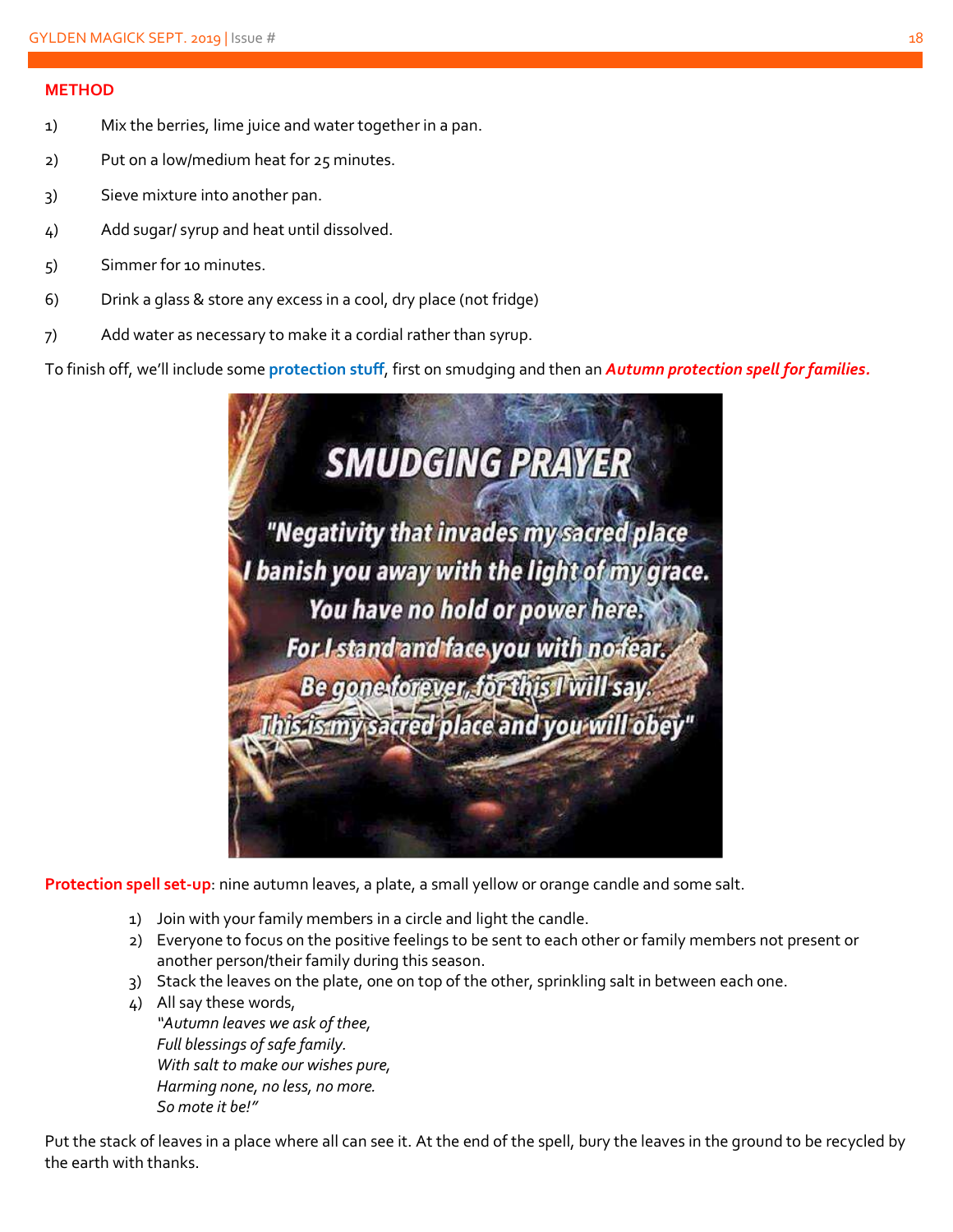#### **METHOD**

- 1) Mix the berries, lime juice and water together in a pan.
- 2) Put on a low/medium heat for 25 minutes.
- 3) Sieve mixture into another pan.
- 4) Add sugar/ syrup and heat until dissolved.
- 5) Simmer for 10 minutes.
- 6) Drink a glass & store any excess in a cool, dry place (not fridge)
- 7) Add water as necessary to make it a cordial rather than syrup.

To finish off, we'll include some **protection stuff**, first on smudging and then an *Autumn protection spell for families.*

![](_page_17_Picture_10.jpeg)

**Protection spell set-up**: nine autumn leaves, a plate, a small yellow or orange candle and some salt.

- 1) Join with your family members in a circle and light the candle.
- 2) Everyone to focus on the positive feelings to be sent to each other or family members not present or another person/their family during this season.
- 3) Stack the leaves on the plate, one on top of the other, sprinkling salt in between each one.
- 4) All say these words, *"Autumn leaves we ask of thee, Full blessings of safe family. With salt to make our wishes pure, Harming none, no less, no more. So mote it be!"*

Put the stack of leaves in a place where all can see it. At the end of the spell, bury the leaves in the ground to be recycled by the earth with thanks.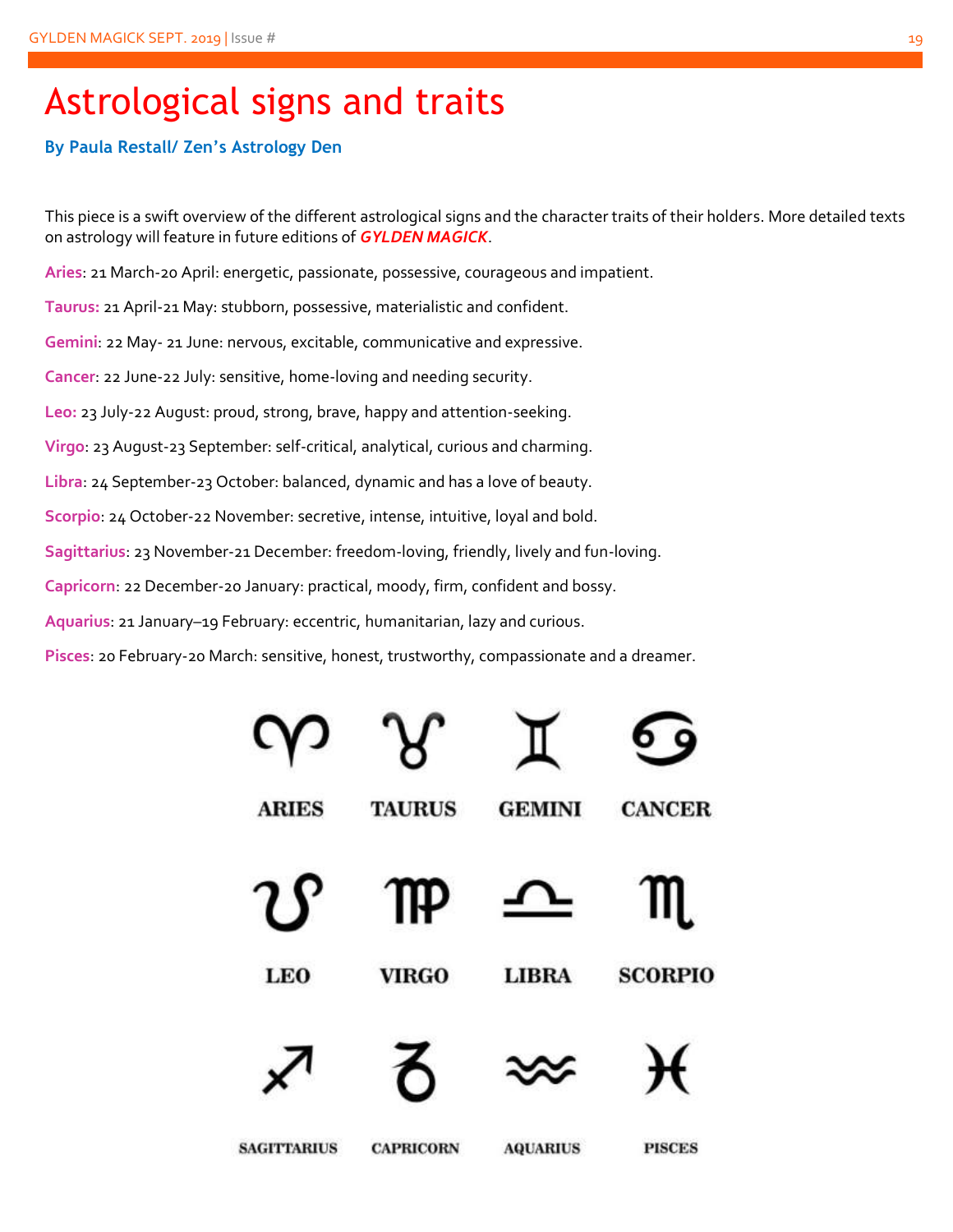### Astrological signs and traits

#### **By Paula Restall/ Zen's Astrology Den**

This piece is a swift overview of the different astrological signs and the character traits of their holders. More detailed texts on astrology will feature in future editions of *GYLDEN MAGICK*.

**Aries**: 21 March-20 April: energetic, passionate, possessive, courageous and impatient.

**Taurus:** 21 April-21 May: stubborn, possessive, materialistic and confident.

**Gemini**: 22 May- 21 June: nervous, excitable, communicative and expressive.

**Cancer**: 22 June-22 July: sensitive, home-loving and needing security.

**Leo:** 23 July-22 August: proud, strong, brave, happy and attention-seeking.

**Virgo**: 23 August-23 September: self-critical, analytical, curious and charming.

**Libra**: 24 September-23 October: balanced, dynamic and has a love of beauty.

**Scorpio**: 24 October-22 November: secretive, intense, intuitive, loyal and bold.

**Sagittarius**: 23 November-21 December: freedom-loving, friendly, lively and fun-loving.

**Capricorn**: 22 December-20 January: practical, moody, firm, confident and bossy.

**Aquarius**: 21 January–19 February: eccentric, humanitarian, lazy and curious.

**Pisces**: 20 February-20 March: sensitive, honest, trustworthy, compassionate and a dreamer.

|                    |                  |                 | 9              |
|--------------------|------------------|-----------------|----------------|
| <b>ARIES</b>       | <b>TAURUS</b>    | <b>GEMINI</b>   | <b>CANCER</b>  |
| 7 Y                | ΠP               |                 | $\mathbf{I}$   |
| <b>LEO</b>         | <b>VIRGO</b>     | <b>LIBRA</b>    | <b>SCORPIO</b> |
|                    |                  |                 | f              |
| <b>SAGITTARIUS</b> | <b>CAPRICORN</b> | <b>AQUARIUS</b> | <b>PISCES</b>  |